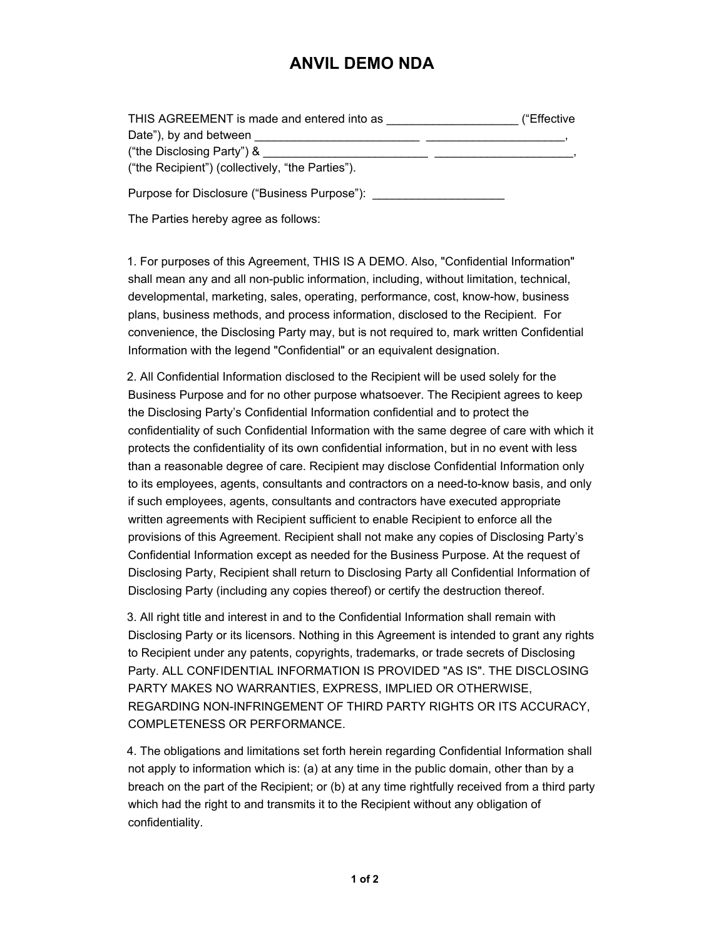## **ANVIL DEMO NDA**

| THIS AGREEMENT is made and entered into as       | ("Effective |
|--------------------------------------------------|-------------|
| Date"), by and between                           |             |
| ("the Disclosing Party") &                       |             |
| ("the Recipient") (collectively, "the Parties"). |             |

Purpose for Disclosure ("Business Purpose"):

The Parties hereby agree as follows:

1. For purposes of this Agreement, THIS IS A DEMO. Also, "Confidential Information" shall mean any and all non-public information, including, without limitation, technical, developmental, marketing, sales, operating, performance, cost, know-how, business plans, business methods, and process information, disclosed to the Recipient. For convenience, the Disclosing Party may, but is not required to, mark written Confidential Information with the legend "Confidential" or an equivalent designation.

2. All Confidential Information disclosed to the Recipient will be used solely for the Business Purpose and for no other purpose whatsoever. The Recipient agrees to keep the Disclosing Party's Confidential Information confidential and to protect the confidentiality of such Confidential Information with the same degree of care with which it protects the confidentiality of its own confidential information, but in no event with less than a reasonable degree of care. Recipient may disclose Confidential Information only to its employees, agents, consultants and contractors on a need-to-know basis, and only if such employees, agents, consultants and contractors have executed appropriate written agreements with Recipient sufficient to enable Recipient to enforce all the provisions of this Agreement. Recipient shall not make any copies of Disclosing Party's Confidential Information except as needed for the Business Purpose. At the request of Disclosing Party, Recipient shall return to Disclosing Party all Confidential Information of Disclosing Party (including any copies thereof) or certify the destruction thereof.

3. All right title and interest in and to the Confidential Information shall remain with Disclosing Party or its licensors. Nothing in this Agreement is intended to grant any rights to Recipient under any patents, copyrights, trademarks, or trade secrets of Disclosing Party. ALL CONFIDENTIAL INFORMATION IS PROVIDED "AS IS". THE DISCLOSING PARTY MAKES NO WARRANTIES, EXPRESS, IMPLIED OR OTHERWISE, REGARDING NON-INFRINGEMENT OF THIRD PARTY RIGHTS OR ITS ACCURACY, COMPLETENESS OR PERFORMANCE.

4. The obligations and limitations set forth herein regarding Confidential Information shall not apply to information which is: (a) at any time in the public domain, other than by a breach on the part of the Recipient; or (b) at any time rightfully received from a third party which had the right to and transmits it to the Recipient without any obligation of confidentiality.